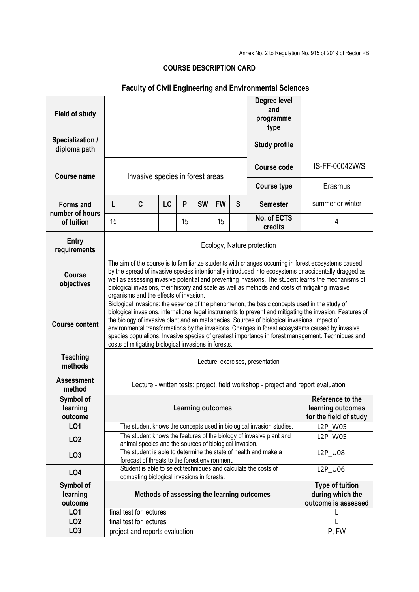Annex No. 2 to Regulation No. 915 of 2019 of Rector PB

| <b>Faculty of Civil Engineering and Environmental Sciences</b> |                                                                                                                                                                                                                                                                                                                                                                                                                                                                                                                                                                           |                                                                                                               |           |    |                          |           |                                                                   |                                                                     |                  |  |  |  |
|----------------------------------------------------------------|---------------------------------------------------------------------------------------------------------------------------------------------------------------------------------------------------------------------------------------------------------------------------------------------------------------------------------------------------------------------------------------------------------------------------------------------------------------------------------------------------------------------------------------------------------------------------|---------------------------------------------------------------------------------------------------------------|-----------|----|--------------------------|-----------|-------------------------------------------------------------------|---------------------------------------------------------------------|------------------|--|--|--|
| <b>Field of study</b>                                          |                                                                                                                                                                                                                                                                                                                                                                                                                                                                                                                                                                           |                                                                                                               |           |    |                          |           |                                                                   | Degree level<br>and<br>programme<br>type                            |                  |  |  |  |
| Specialization /<br>diploma path                               |                                                                                                                                                                                                                                                                                                                                                                                                                                                                                                                                                                           |                                                                                                               |           |    |                          |           |                                                                   | <b>Study profile</b>                                                |                  |  |  |  |
| <b>Course name</b>                                             | Invasive species in forest areas                                                                                                                                                                                                                                                                                                                                                                                                                                                                                                                                          |                                                                                                               |           |    |                          |           |                                                                   | Course code                                                         | IS-FF-00042W/S   |  |  |  |
|                                                                |                                                                                                                                                                                                                                                                                                                                                                                                                                                                                                                                                                           |                                                                                                               |           |    |                          |           |                                                                   | <b>Course type</b>                                                  | Erasmus          |  |  |  |
| <b>Forms and</b><br>number of hours                            | L                                                                                                                                                                                                                                                                                                                                                                                                                                                                                                                                                                         | C                                                                                                             | <b>LC</b> | P  | <b>SW</b>                | <b>FW</b> | S                                                                 | <b>Semester</b>                                                     | summer or winter |  |  |  |
| of tuition                                                     | 15                                                                                                                                                                                                                                                                                                                                                                                                                                                                                                                                                                        |                                                                                                               |           | 15 |                          | 15        |                                                                   | No. of ECTS<br>credits                                              | 4                |  |  |  |
| <b>Entry</b><br>requirements                                   | Ecology, Nature protection                                                                                                                                                                                                                                                                                                                                                                                                                                                                                                                                                |                                                                                                               |           |    |                          |           |                                                                   |                                                                     |                  |  |  |  |
| <b>Course</b><br>objectives                                    | The aim of the course is to familiarize students with changes occurring in forest ecosystems caused<br>by the spread of invasive species intentionally introduced into ecosystems or accidentally dragged as<br>well as assessing invasive potential and preventing invasions. The student learns the mechanisms of<br>biological invasions, their history and scale as well as methods and costs of mitigating invasive<br>organisms and the effects of invasion.                                                                                                        |                                                                                                               |           |    |                          |           |                                                                   |                                                                     |                  |  |  |  |
| <b>Course content</b>                                          | Biological invasions: the essence of the phenomenon, the basic concepts used in the study of<br>biological invasions, international legal instruments to prevent and mitigating the invasion. Features of<br>the biology of invasive plant and animal species. Sources of biological invasions. Impact of<br>environmental transformations by the invasions. Changes in forest ecosystems caused by invasive<br>species populations. Invasive species of greatest importance in forest management. Techniques and<br>costs of mitigating biological invasions in forests. |                                                                                                               |           |    |                          |           |                                                                   |                                                                     |                  |  |  |  |
| <b>Teaching</b><br>methods                                     | Lecture, exercises, presentation                                                                                                                                                                                                                                                                                                                                                                                                                                                                                                                                          |                                                                                                               |           |    |                          |           |                                                                   |                                                                     |                  |  |  |  |
| <b>Assessment</b><br>method                                    |                                                                                                                                                                                                                                                                                                                                                                                                                                                                                                                                                                           | Lecture - written tests; project, field workshop - project and report evaluation                              |           |    |                          |           |                                                                   |                                                                     |                  |  |  |  |
| Symbol of<br>learning<br>outcome                               |                                                                                                                                                                                                                                                                                                                                                                                                                                                                                                                                                                           |                                                                                                               |           |    | <b>Learning outcomes</b> |           |                                                                   | Reference to the<br>learning outcomes<br>for the field of study     |                  |  |  |  |
| LO1                                                            |                                                                                                                                                                                                                                                                                                                                                                                                                                                                                                                                                                           |                                                                                                               |           |    |                          |           |                                                                   | The student knows the concepts used in biological invasion studies. | L2P_W05          |  |  |  |
| LO <sub>2</sub>                                                |                                                                                                                                                                                                                                                                                                                                                                                                                                                                                                                                                                           | animal species and the sources of biological invasion.                                                        |           |    |                          |           |                                                                   | The student knows the features of the biology of invasive plant and | L2P_W05          |  |  |  |
| LO <sub>3</sub>                                                | The student is able to determine the state of health and make a<br><b>L2P U08</b><br>forecast of threats to the forest environment.                                                                                                                                                                                                                                                                                                                                                                                                                                       |                                                                                                               |           |    |                          |           |                                                                   |                                                                     |                  |  |  |  |
| <b>LO4</b>                                                     |                                                                                                                                                                                                                                                                                                                                                                                                                                                                                                                                                                           | Student is able to select techniques and calculate the costs of<br>combating biological invasions in forests. |           |    |                          |           |                                                                   |                                                                     | L2P_U06          |  |  |  |
| Symbol of<br>learning<br>outcome                               | Methods of assessing the learning outcomes                                                                                                                                                                                                                                                                                                                                                                                                                                                                                                                                |                                                                                                               |           |    |                          |           | <b>Type of tuition</b><br>during which the<br>outcome is assessed |                                                                     |                  |  |  |  |
| L <sub>01</sub>                                                |                                                                                                                                                                                                                                                                                                                                                                                                                                                                                                                                                                           | final test for lectures                                                                                       |           |    |                          |           |                                                                   |                                                                     |                  |  |  |  |
| LO <sub>2</sub>                                                |                                                                                                                                                                                                                                                                                                                                                                                                                                                                                                                                                                           | final test for lectures                                                                                       |           |    |                          |           |                                                                   |                                                                     |                  |  |  |  |
| LO <sub>3</sub>                                                |                                                                                                                                                                                                                                                                                                                                                                                                                                                                                                                                                                           | project and reports evaluation                                                                                |           |    |                          |           |                                                                   |                                                                     | P, FW            |  |  |  |

## **COURSE DESCRIPTION CARD**